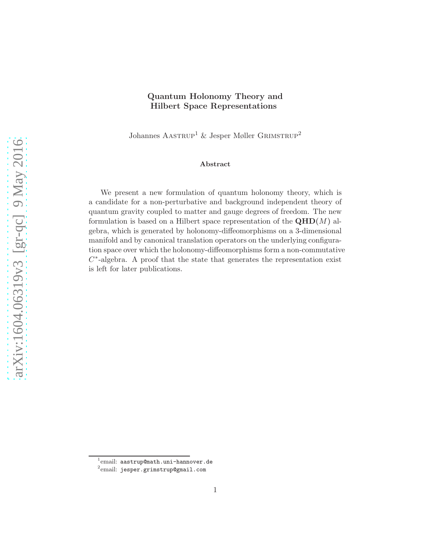### Quantum Holonomy Theory and Hilbert Space Representations

Johannes  $A$ ASTRUP<sup>1</sup> & Jesper Møller GRIMSTRUP<sup>2</sup>

#### Abstract

We present a new formulation of quantum holonomy theory, which is a candidate for a non-perturbative and background independent theory of quantum gravity coupled to matter and gauge degrees of freedom. The new formulation is based on a Hilbert space representation of the  $\mathbf{QH D}(M)$  algebra, which is generated by holonomy-diffeomorphisms on a 3-dimensional manifold and by canonical translation operators on the underlying configuration space over which the holonomy-diffeomorphisms form a non-commutative  $C^*$ -algebra. A proof that the state that generates the representation exist is left for later publications.

 $^1$ email: aastrup@math.uni-hannover.de

<sup>2</sup> email: jesper.grimstrup@gmail.com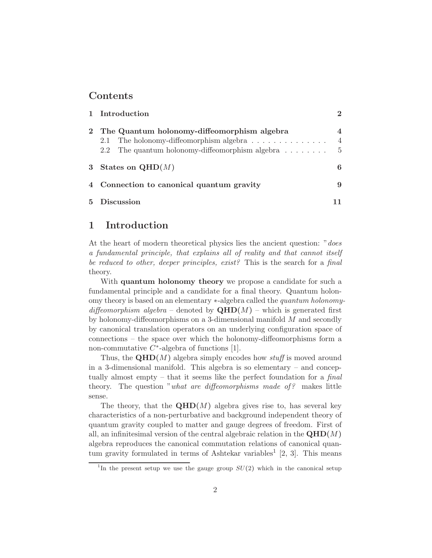### Contents

| 1 Introduction                                                                                                                                                                    | $\mathcal{D}$                                   |
|-----------------------------------------------------------------------------------------------------------------------------------------------------------------------------------|-------------------------------------------------|
| The Quantum holonomy-diffeomorphism algebra<br>2.1 The holonomy-diffeomorphism algebra $\dots \dots \dots \dots$<br>2.2 The quantum holonomy-diffeomorphism algebra $\dots \dots$ | $\overline{\mathcal{A}}$<br>$\overline{4}$<br>5 |
| 3 States on $QHD(M)$                                                                                                                                                              | 6                                               |
| 4 Connection to canonical quantum gravity                                                                                                                                         | 9                                               |
| 5 Discussion                                                                                                                                                                      |                                                 |

## 1 Introduction

At the heart of modern theoretical physics lies the ancient question: "*does* a fundamental principle, that explains all of reality and that cannot itself be reduced to other, deeper principles, exist? This is the search for a final theory.

With **quantum holonomy theory** we propose a candidate for such a fundamental principle and a candidate for a final theory. Quantum holonomy theory is based on an elementary ∗-algebra called the quantum holonomydiffeomorphism algebra – denoted by  $\mathbf{QHD}(M)$  – which is generated first by holonomy-diffeomorphisms on a 3-dimensional manifold  $M$  and secondly by canonical translation operators on an underlying configuration space of connections – the space over which the holonomy-diffeomorphisms form a non-commutative  $C^*$ -algebra of functions [1].

Thus, the  $\mathbf{QHD}(M)$  algebra simply encodes how stuff is moved around in a 3-dimensional manifold. This algebra is so elementary – and conceptually almost empty – that it seems like the perfect foundation for a final theory. The question "what are diffeomorphisms made of? makes little sense.

The theory, that the  $QHD(M)$  algebra gives rise to, has several key characteristics of a non-perturbative and background independent theory of quantum gravity coupled to matter and gauge degrees of freedom. First of all, an infinitesimal version of the central algebraic relation in the  $\mathbf{QHD}(M)$ algebra reproduces the canonical commutation relations of canonical quantum gravity formulated in terms of Ashtekar variables<sup>1</sup> [2, 3]. This means

<sup>&</sup>lt;sup>1</sup>In the present setup we use the gauge group  $SU(2)$  which in the canonical setup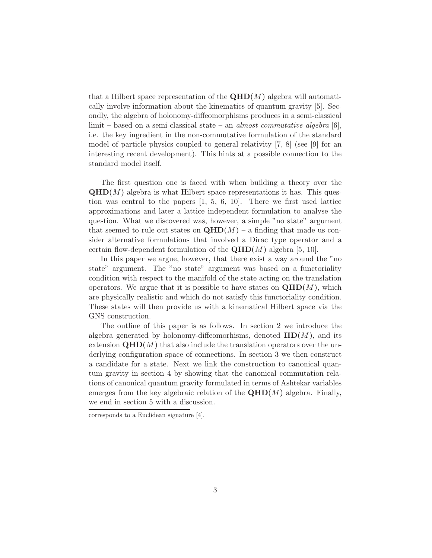that a Hilbert space representation of the  $\mathbf{QHD}(M)$  algebra will automatically involve information about the kinematics of quantum gravity [5]. Secondly, the algebra of holonomy-diffeomorphisms produces in a semi-classical limit – based on a semi-classical state – an *almost commutative algebra* [6], i.e. the key ingredient in the non-commutative formulation of the standard model of particle physics coupled to general relativity [7, 8] (see [9] for an interesting recent development). This hints at a possible connection to the standard model itself.

The first question one is faced with when building a theory over the  $QHD(M)$  algebra is what Hilbert space representations it has. This question was central to the papers [1, 5, 6, 10]. There we first used lattice approximations and later a lattice independent formulation to analyse the question. What we discovered was, however, a simple "no state" argument that seemed to rule out states on  $\mathbf{QHD}(M)$  – a finding that made us consider alternative formulations that involved a Dirac type operator and a certain flow-dependent formulation of the  $\mathbf{QHD}(M)$  algebra [5, 10].

In this paper we argue, however, that there exist a way around the "no state" argument. The "no state" argument was based on a functoriality condition with respect to the manifold of the state acting on the translation operators. We argue that it is possible to have states on  $\mathbf{QHD}(M)$ , which are physically realistic and which do not satisfy this functoriality condition. These states will then provide us with a kinematical Hilbert space via the GNS construction.

The outline of this paper is as follows. In section 2 we introduce the algebra generated by holonomy-diffeomorhisms, denoted  $HD(M)$ , and its extension  $\mathbf{QHD}(M)$  that also include the translation operators over the underlying configuration space of connections. In section 3 we then construct a candidate for a state. Next we link the construction to canonical quantum gravity in section 4 by showing that the canonical commutation relations of canonical quantum gravity formulated in terms of Ashtekar variables emerges from the key algebraic relation of the  $\mathbf{QHD}(M)$  algebra. Finally, we end in section 5 with a discussion.

corresponds to a Euclidean signature [4].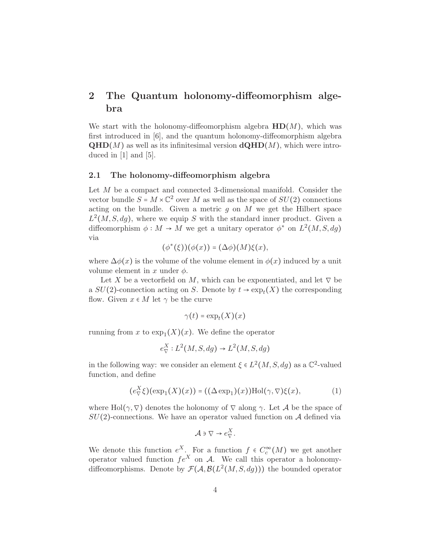# 2 The Quantum holonomy-diffeomorphism algebra

We start with the holonomy-diffeomorphism algebra  $HD(M)$ , which was first introduced in [6], and the quantum holonomy-diffeomorphism algebra  $\mathbf{QHD}(M)$  as well as its infinitesimal version  $\mathbf{dQHD}(M)$ , which were introduced in [1] and [5].

#### 2.1 The holonomy-diffeomorphism algebra

Let  $M$  be a compact and connected 3-dimensional manifold. Consider the vector bundle  $S = M \times \mathbb{C}^2$  over M as well as the space of  $SU(2)$  connections acting on the bundle. Given a metric  $g$  on  $M$  we get the Hilbert space  $L^2(M, S, dg)$ , where we equip S with the standard inner product. Given a diffeomorphism  $\phi : M \to M$  we get a unitary operator  $\phi^*$  on  $L^2(M, S, dg)$ via

$$
(\phi^*(\xi))(\phi(x)) = (\Delta \phi)(M)\xi(x),
$$

where  $\Delta\phi(x)$  is the volume of the volume element in  $\phi(x)$  induced by a unit volume element in x under  $\phi$ .

Let X be a vectorfield on M, which can be exponentiated, and let  $\nabla$  be a  $SU(2)$ -connection acting on S. Denote by  $t \to \exp_t(X)$  the corresponding flow. Given  $x \in M$  let  $\gamma$  be the curve

$$
\gamma(t) = \exp_t(X)(x)
$$

running from x to  $\exp_1(X)(x)$ . We define the operator

$$
e^X_\nabla: L^2(M, S, dg) \to L^2(M, S, dg)
$$

in the following way: we consider an element  $\xi \in L^2(M, S, dg)$  as a  $\mathbb{C}^2$ -valued function, and define

$$
(e^X_{\nabla} \xi)(\exp_1(X)(x)) = ((\Delta \exp_1)(x))\text{Hol}(\gamma, \nabla)\xi(x), \tag{1}
$$

where Hol( $\gamma$ ,  $\nabla$ ) denotes the holonomy of  $\nabla$  along  $\gamma$ . Let A be the space of  $SU(2)$ -connections. We have an operator valued function on A defined via

$$
\mathcal{A} \ni \nabla \to e_{\nabla}^X.
$$

We denote this function  $e^X$ . For a function  $f \in C_c^{\infty}(M)$  we get another operator valued function  $fe^X$  on A. We call this operator a holonomydiffeomorphisms. Denote by  $\mathcal{F}(\mathcal{A}, \mathcal{B}(L^2(M, S, dg)))$  the bounded operator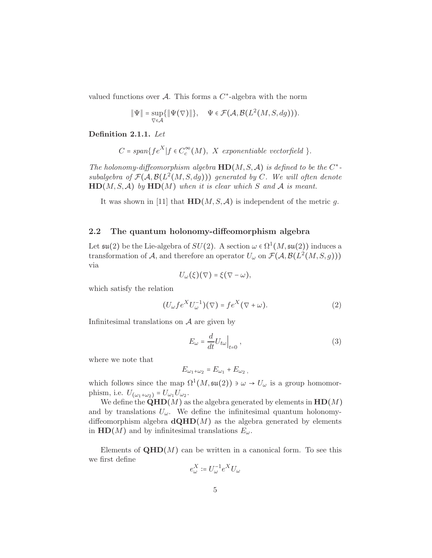valued functions over  $A$ . This forms a  $C^*$ -algebra with the norm

$$
\|\Psi\| = \sup_{\nabla \in \mathcal{A}} \{\|\Psi(\nabla)\|\}, \quad \Psi \in \mathcal{F}(\mathcal{A}, \mathcal{B}(L^2(M, S, dg))).
$$

Definition 2.1.1. Let

$$
C = span\{fe^{X}| f \in C_{c}^{\infty}(M), X \text{ exponentiable vector field }\}.
$$

The holonomy-diffeomorphism algebra  $HD(M, S, A)$  is defined to be the  $C^*$ subalgebra of  $\mathcal{F}(\mathcal{A}, \mathcal{B}(L^2(M,S,dg)))$  generated by C. We will often denote  $HD(M, S, A)$  by  $HD(M)$  when it is clear which S and A is meant.

It was shown in [11] that  $HD(M, S, A)$  is independent of the metric g.

#### 2.2 The quantum holonomy-diffeomorphism algebra

Let  $\mathfrak{su}(2)$  be the Lie-algebra of  $SU(2)$ . A section  $\omega \in \Omega^1(M, \mathfrak{su}(2))$  induces a transformation of A, and therefore an operator  $U_{\omega}$  on  $\mathcal{F}(\mathcal{A}, \mathcal{B}(L^2(M,S,g)))$ via

$$
U_{\omega}(\xi)(\nabla) = \xi(\nabla - \omega),
$$

which satisfy the relation

$$
(U_{\omega} f e^X U_{\omega}^{-1})(\nabla) = f e^X (\nabla + \omega).
$$
 (2)

Infinitesimal translations on  $A$  are given by

$$
E_{\omega} = \frac{d}{dt} U_{t\omega} \Big|_{t=0} , \qquad (3)
$$

where we note that

$$
E_{\omega_1+\omega_2}=E_{\omega_1}+E_{\omega_2},
$$

which follows since the map  $\Omega^1(M, \mathfrak{su}(2)) \ni \omega \to U_{\omega}$  is a group homomorphism, i.e.  $U_{(\omega_1+\omega_2)} = U_{\omega_1} U_{\omega_2}$ .

We define the  $\mathbf{QH D}(M)$  as the algebra generated by elements in  $\mathbf{H D}(M)$ and by translations  $U_{\omega}$ . We define the infinitesimal quantum holonomydiffeomorphism algebra  $\mathbf{dQHD}(M)$  as the algebra generated by elements in  $HD(M)$  and by infinitesimal translations  $E_{\omega}$ .

Elements of  $QHD(M)$  can be written in a canonical form. To see this we first define

$$
e_\omega^X\coloneqq U_\omega^{-1}e^X U_\omega
$$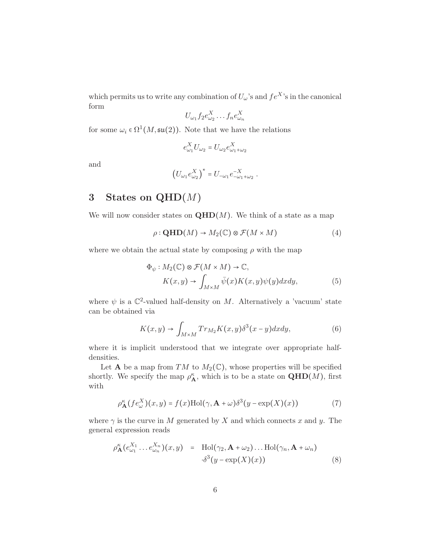which permits us to write any combination of  $U_\omega$ 's and  $fe^{X}$ 's in the canonical form

$$
U_{\omega_1} f_2 e_{\omega_2}^X \dots f_n e_{\omega_n}^X
$$

for some  $\omega_i \in \Omega^1(M, \mathfrak{su}(2))$ . Note that we have the relations

$$
e_{\omega_1}^X U_{\omega_2} = U_{\omega_2} e_{\omega_1+\omega_2}^X
$$

and

$$
\left(U_{\omega_1}e_{\omega_2}^X\right)^* = U_{-\omega_1}e_{-\omega_1+\omega_2}^{-X}.
$$

## 3 States on  $QHD(M)$

We will now consider states on  $\mathbf{QHD}(M)$ . We think of a state as a map

$$
\rho: \mathbf{QHD}(M) \to M_2(\mathbb{C}) \otimes \mathcal{F}(M \times M) \tag{4}
$$

where we obtain the actual state by composing  $\rho$  with the map

$$
\Phi_{\psi}: M_2(\mathbb{C}) \otimes \mathcal{F}(M \times M) \to \mathbb{C},
$$
  
\n
$$
K(x, y) \to \int_{M \times M} \bar{\psi}(x) K(x, y) \psi(y) dx dy,
$$
\n(5)

where  $\psi$  is a  $\mathbb{C}^2$ -valued half-density on M. Alternatively a 'vacuum' state can be obtained via

$$
K(x,y) \to \int_{M \times M} Tr_{M_2} K(x,y) \delta^3(x-y) dx dy, \tag{6}
$$

where it is implicit understood that we integrate over appropriate halfdensities.

Let **A** be a map from TM to  $M_2(\mathbb{C})$ , whose properties will be specified shortly. We specify the map  $\rho_{\bf A}^{\kappa}$ , which is to be a state on  $\mathbf{QHD}(M)$ , first with

$$
\rho_{\mathbf{A}}^{\kappa}(fe_{\omega}^{X})(x,y) = f(x)\text{Hol}(\gamma, \mathbf{A} + \omega)\delta^{3}(y - \exp(X)(x))
$$
\n(7)

where  $\gamma$  is the curve in M generated by X and which connects x and y. The general expression reads

$$
\rho_{\mathbf{A}}^{\kappa}(e_{\omega_1}^{X_1}\dots e_{\omega_n}^{X_n})(x,y) = \text{Hol}(\gamma_2, \mathbf{A} + \omega_2)\dots \text{Hol}(\gamma_n, \mathbf{A} + \omega_n)
$$

$$
\delta^3(y - \exp(X)(x)) \tag{8}
$$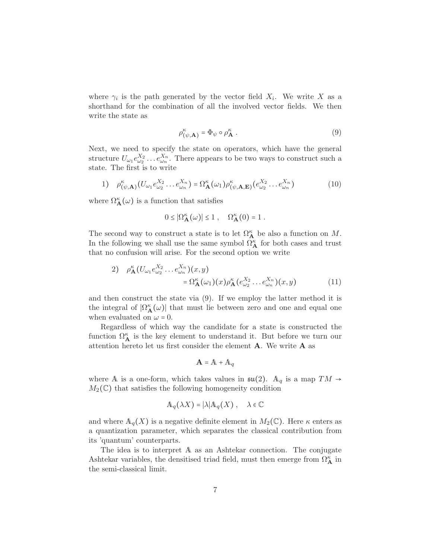where  $\gamma_i$  is the path generated by the vector field  $X_i$ . We write X as a shorthand for the combination of all the involved vector fields. We then write the state as

$$
\rho_{(\psi,\mathbf{A})}^{\kappa} = \Phi_{\psi} \circ \rho_{\mathbf{A}}^{\kappa} . \tag{9}
$$

Next, we need to specify the state on operators, which have the general structure  $U_{\omega_1} e_{\omega_2}^{X_2} \dots e_{\omega_n}^{X_n}$ . There appears to be two ways to construct such a state. The first is to write

1) 
$$
\rho_{(\psi,\mathbf{A})}^{\kappa}(U_{\omega_1}e_{\omega_2}^{X_2}\dots e_{\omega_n}^{X_n}) = \Omega_{\mathbf{A}}^{\kappa}(\omega_1)\rho_{(\psi,\mathbf{A},\mathbf{E})}^{\kappa}(e_{\omega_2}^{X_2}\dots e_{\omega_n}^{X_n})
$$
(10)

where  $\Omega_{\bf A}^{\kappa}(\omega)$  is a function that satisfies

$$
0 \leq |\Omega^{\kappa}_{\mathbf{A}}(\omega)| \leq 1 \; , \quad \Omega^{\kappa}_{\mathbf{A}}(0) = 1 \; .
$$

The second way to construct a state is to let  $\Omega_{\mathbf{A}}^{\kappa}$  be also a function on M. In the following we shall use the same symbol  $\Omega_{\mathbf{A}}^{\kappa}$  for both cases and trust that no confusion will arise. For the second option we write

2) 
$$
\rho_{\mathbf{A}}^{\kappa}(U_{\omega_1}e_{\omega_2}^{X_2}\dots e_{\omega_n}^{X_n})(x,y) = \Omega_{\mathbf{A}}^{\kappa}(\omega_1)(x)\rho_{\mathbf{A}}^{\kappa}(e_{\omega_2}^{X_2}\dots e_{\omega_n}^{X_n})(x,y)
$$
(11)

and then construct the state via (9). If we employ the latter method it is the integral of  $|\Omega_{\bf A}^{\kappa}(\omega)|$  that must lie between zero and one and equal one when evaluated on  $\omega = 0$ .

Regardless of which way the candidate for a state is constructed the function  $\Omega_{\bf A}^{\kappa}$  is the key element to understand it. But before we turn our attention hereto let us first consider the element  $A$ . We write  $A$  as

$$
\mathbf{A} = \mathbf{A} + \mathbf{A}_q
$$

where A is a one-form, which takes values in  $\mathfrak{su}(2)$ .  $\mathbb{A}_q$  is a map  $TM \rightarrow$  $M_2(\mathbb{C})$  that satisfies the following homogeneity condition

$$
\mathbb{A}_q(\lambda X) = |\lambda| \mathbb{A}_q(X) , \quad \lambda \in \mathbb{C}
$$

and where  $A_q(X)$  is a negative definite element in  $M_2(\mathbb{C})$ . Here  $\kappa$  enters as a quantization parameter, which separates the classical contribution from its 'quantum' counterparts.

The idea is to interpret A as an Ashtekar connection. The conjugate Ashtekar variables, the densitised triad field, must then emerge from  $\Omega_{\mathbf{A}}^{\kappa}$  in the semi-classical limit.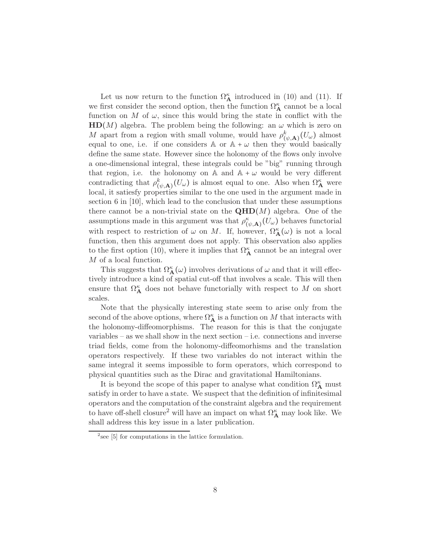Let us now return to the function  $\Omega_{\mathbf{A}}^{\kappa}$  introduced in (10) and (11). If we first consider the second option, then the function  $\Omega_{\mathbf{A}}^{\kappa}$  cannot be a local function on M of  $\omega$ , since this would bring the state in conflict with the  $HD(M)$  algebra. The problem being the following: an  $\omega$  which is zero on M apart from a region with small volume, would have  $\rho_{(\psi,\mathbf{A})}^k(U_\omega)$  almost equal to one, i.e. if one considers A or  $A + \omega$  then they would basically define the same state. However since the holonomy of the flows only involve a one-dimensional integral, these integrals could be "big" running through that region, i.e. the holonomy on  $\mathbb A$  and  $\mathbb A + \omega$  would be very different contradicting that  $\rho^k_{(\psi, \mathbf{A})}(U_\omega)$  is almost equal to one. Also when  $\Omega^{\kappa}_{\mathbf{A}}$  were local, it satiesfy properties similar to the one used in the argument made in section 6 in [10], which lead to the conclusion that under these assumptions there cannot be a non-trivial state on the  $\mathbf{QHD}(M)$  algebra. One of the assumptions made in this argument was that  $\rho^{\kappa}_{(\psi, \mathbf{A})}(U_{\omega})$  behaves functorial with respect to restriction of  $\omega$  on M. If, however,  $\Omega_{\bf A}^{\kappa}(\omega)$  is not a local function, then this argument does not apply. This observation also applies to the first option (10), where it implies that  $\Omega_{\mathbf{A}}^{\kappa}$  cannot be an integral over M of a local function.

This suggests that  $\Omega_{\mathbf{A}}^{\kappa}(\omega)$  involves derivations of  $\omega$  and that it will effectively introduce a kind of spatial cut-off that involves a scale. This will then ensure that  $\Omega_{\mathbf{A}}^{\kappa}$  does not behave functorially with respect to M on short scales.

Note that the physically interesting state seem to arise only from the second of the above options, where  $\Omega_{\mathbf{A}}^{\kappa}$  is a function on M that interacts with the holonomy-diffeomorphisms. The reason for this is that the conjugate variables  $-$  as we shall show in the next section  $-$  i.e. connections and inverse triad fields, come from the holonomy-diffeomorhisms and the translation operators respectively. If these two variables do not interact within the same integral it seems impossible to form operators, which correspond to physical quantities such as the Dirac and gravitational Hamiltonians.

It is beyond the scope of this paper to analyse what condition  $\Omega_{\mathbf{A}}^{\kappa}$  must satisfy in order to have a state. We suspect that the definition of infinitesimal operators and the computation of the constraint algebra and the requirement to have off-shell closure<sup>2</sup> will have an impact on what  $\Omega_A^{\kappa}$  may look like. We shall address this key issue in a later publication.

 $2$  see [5] for computations in the lattice formulation.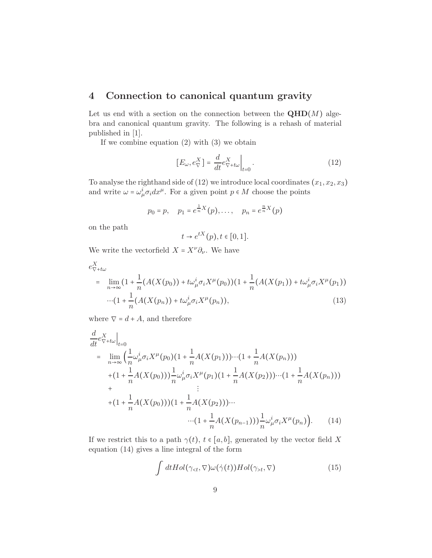## 4 Connection to canonical quantum gravity

Let us end with a section on the connection between the  $\mathbf{QHD}(M)$  algebra and canonical quantum gravity. The following is a rehash of material published in [1].

If we combine equation (2) with (3) we obtain

$$
[E_{\omega}, e_{\nabla}^X] = \frac{d}{dt} e_{\nabla + t\omega}^X \Big|_{t=0}.
$$
 (12)

To analyse the righthand side of  $(12)$  we introduce local coordinates  $(x_1, x_2, x_3)$ and write  $\omega = \omega_{\mu}^{i} \sigma_{i} dx^{\mu}$ . For a given point  $p \in M$  choose the points

$$
p_0 = p
$$
,  $p_1 = e^{\frac{1}{n}X}(p)$ ,...,  $p_n = e^{\frac{n}{n}X}(p)$ 

on the path

$$
t \to e^{tX}(p), t \in [0,1].
$$

We write the vectorfield  $X = X^{\nu} \partial_{\nu}$ . We have

$$
e_{\nabla + t\omega}^{X}
$$
\n
$$
= \lim_{n \to \infty} (1 + \frac{1}{n} (A(X(p_0)) + t\omega_{\mu}^{i} \sigma_i X^{\mu}(p_0)) (1 + \frac{1}{n} (A(X(p_1)) + t\omega_{\mu}^{i} \sigma_i X^{\mu}(p_1))
$$
\n
$$
\cdots (1 + \frac{1}{n} (A(X(p_n)) + t\omega_{\mu}^{i} \sigma_i X^{\mu}(p_n)), \tag{13}
$$

where  $\nabla = d + A$ , and therefore

$$
\frac{d}{dt}e_{\nabla+ t\omega}^{X}\Big|_{t=0}
$$
\n
$$
= \lim_{n\to\infty} \left(\frac{1}{n}\omega_{\mu}^{i}\sigma_{i}X^{\mu}(p_{0})(1+\frac{1}{n}A(X(p_{1}))\cdots(1+\frac{1}{n}A(X(p_{n})))\right.\n+(1+\frac{1}{n}A(X(p_{0})))\frac{1}{n}\omega_{\mu}^{i}\sigma_{i}X^{\mu}(p_{1})(1+\frac{1}{n}A(X(p_{2}))\cdots(1+\frac{1}{n}A(X(p_{n})))\n+ \qquad \qquad \vdots
$$
\n+(1+\frac{1}{n}A(X(p\_{0})))(1+\frac{1}{n}A(X(p\_{2})))\cdots\n...(1+\frac{1}{n}A(X(p\_{n-1})))\frac{1}{n}\omega\_{\mu}^{i}\sigma\_{i}X^{\mu}(p\_{n})\n). (14)

If we restrict this to a path  $\gamma(t)$ ,  $t \in [a, b]$ , generated by the vector field X equation (14) gives a line integral of the form

$$
\int dt Hol(\gamma_{t}, \nabla)
$$
\n(15)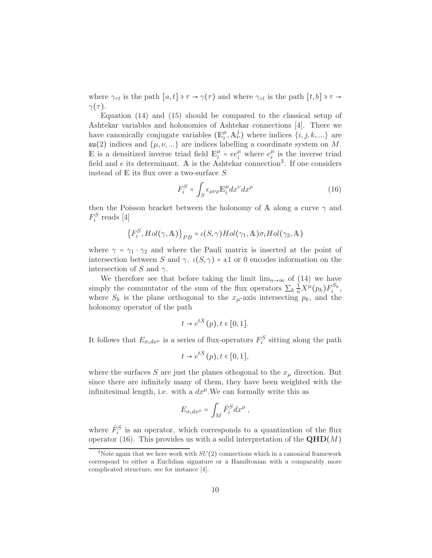where  $\gamma_{\leq t}$  is the path  $[a, t] \ni \tau \to \gamma(\tau)$  and where  $\gamma_{>t}$  is the path  $[t, b] \ni \tau \to$  $\gamma(\tau)$ .

Equation (14) and (15) should be compared to the classical setup of Ashtekar variables and holonomies of Ashtekar connections [4]. There we have canonically conjugate variables  $(\mathbb{E}_i^{\mu})$  $\mu_i^{\mu}$ ,  $\mathbb{A}_{\nu}^{j}$ ) where indices  $\{i, j, k, \ldots\}$  are  $\mathfrak{su}(2)$  indices and  $\{\mu, \nu, ...\}$  are indices labelling a coordinate system on M. E is a densitized inverse triad field  $\mathbb{E}_i^{\mu}$  $\mu_i^{\mu} = ee_i^{\mu}$  where  $e_i^{\mu}$  $\frac{\mu}{i}$  is the inverse triad field and e its determinant. A is the Ashtekar connection<sup>3</sup>. If one considers instead of  $E$  its flux over a two-surface  $S$ 

$$
F_i^S = \int_S \epsilon_{\mu\nu\rho} \mathbb{E}_i^{\mu} dx^{\nu} dx^{\rho}
$$
 (16)

then the Poisson bracket between the holonomy of A along a curve  $\gamma$  and  $F_i^S$  reads [4]

$$
\left\{F_i^S, Hol(\gamma, \mathbb{A})\right\}_{PB} = \iota(S, \gamma) Hol(\gamma_1, \mathbb{A}) \sigma_i Hol(\gamma_2, \mathbb{A})
$$

where  $\gamma = \gamma_1 \cdot \gamma_2$  and where the Pauli matrix is inserted at the point of intersection between S and  $\gamma$ .  $\iota(S, \gamma) = \pm 1$  or 0 encodes information on the intersection of S and  $\gamma$ .

We therefore see that before taking the limit  $\lim_{n\to\infty}$  of (14) we have simply the commutator of the sum of the flux operators  $\sum_k \frac{1}{n} X^{\mu}(p_k) F_i^{S_k}$ , where  $S_k$  is the plane orthogonal to the  $x_{\mu}$ -axis intersecting  $p_k$ , and the holonomy operator of the path

$$
t \to e^{tX}(p), t \in [0,1].
$$

It follows that  $E_{\sigma_i dx^{\mu}}$  is a series of flux-operators  $F_i^S$  sitting along the path

$$
t \to e^{tX}(p), t \in [0,1],
$$

where the surfaces S are just the planes othogonal to the  $x_{\mu}$  direction. But since there are infinitely many of them, they have been weighted with the infinitesimal length, i.e. with a  $dx^{\mu}$ . We can formally write this as

$$
E_{\sigma_i dx^{\mu}} = \int_M \hat{F}_i^S dx^{\mu} ,
$$

where  $\hat{F}_i^S$  is an operator, which corresponds to a quantization of the flux operator (16). This provides us with a solid interpretation of the  $\mathbf{QHD}(M)$ 

<sup>&</sup>lt;sup>3</sup>Note again that we here work with  $SU(2)$  connections which in a canonical framework correspond to either a Euclidian signature or a Hamiltonian with a comparably more complicated structure, see for instance [4].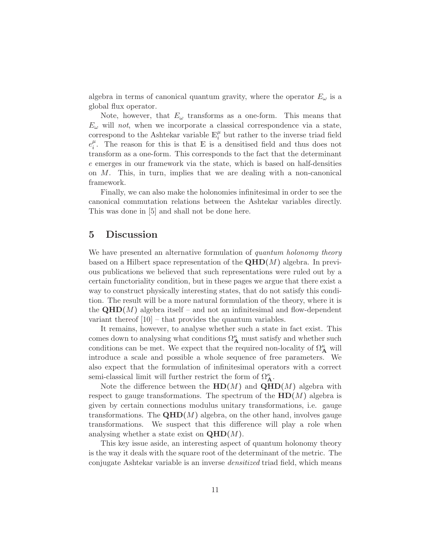algebra in terms of canonical quantum gravity, where the operator  $E_{\omega}$  is a global flux operator.

Note, however, that  $E_{\omega}$  transforms as a one-form. This means that  $E_{\omega}$  will not, when we incorporate a classical correspondence via a state, correspond to the Ashtekar variable  $\mathbb{E}_i^{\mu}$  $\frac{\mu}{i}$  but rather to the inverse triad field  $e_i^{\mu}$  $i<sup>\mu</sup>$ . The reason for this is that E is a densitised field and thus does not transform as a one-form. This corresponds to the fact that the determinant e emerges in our framework via the state, which is based on half-densities on  $M$ . This, in turn, implies that we are dealing with a non-canonical framework.

Finally, we can also make the holonomies infinitesimal in order to see the canonical commutation relations between the Ashtekar variables directly. This was done in [5] and shall not be done here.

### 5 Discussion

We have presented an alternative formulation of quantum holonomy theory based on a Hilbert space representation of the  $\mathbf{QHD}(M)$  algebra. In previous publications we believed that such representations were ruled out by a certain functoriality condition, but in these pages we argue that there exist a way to construct physically interesting states, that do not satisfy this condition. The result will be a more natural formulation of the theory, where it is the  $\mathbf{QHD}(M)$  algebra itself – and not an infinitesimal and flow-dependent variant thereof  $[10]$  – that provides the quantum variables.

It remains, however, to analyse whether such a state in fact exist. This comes down to analysing what conditions  $\Omega_{\mathbf{A}}^{\kappa}$  must satisfy and whether such conditions can be met. We expect that the required non-locality of  $\Omega_{\mathbf{A}}^{\kappa}$  will introduce a scale and possible a whole sequence of free parameters. We also expect that the formulation of infinitesimal operators with a correct semi-classical limit will further restrict the form of  $\Omega_{\mathbf{A}}^{\kappa}$ .

Note the difference between the  $HD(M)$  and  $QHD(M)$  algebra with respect to gauge transformations. The spectrum of the  $HD(M)$  algebra is given by certain connections modulus unitary transformations, i.e. gauge transformations. The  $\mathbf{QHD}(M)$  algebra, on the other hand, involves gauge transformations. We suspect that this difference will play a role when analysing whether a state exist on  $\mathbf{QHD}(M)$ .

This key issue aside, an interesting aspect of quantum holonomy theory is the way it deals with the square root of the determinant of the metric. The conjugate Ashtekar variable is an inverse densitized triad field, which means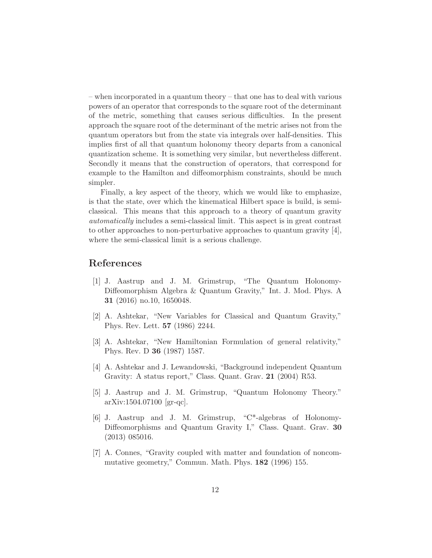– when incorporated in a quantum theory – that one has to deal with various powers of an operator that corresponds to the square root of the determinant of the metric, something that causes serious difficulties. In the present approach the square root of the determinant of the metric arises not from the quantum operators but from the state via integrals over half-densities. This implies first of all that quantum holonomy theory departs from a canonical quantization scheme. It is something very similar, but nevertheless different. Secondly it means that the construction of operators, that correspond for example to the Hamilton and diffeomorphism constraints, should be much simpler.

Finally, a key aspect of the theory, which we would like to emphasize, is that the state, over which the kinematical Hilbert space is build, is semiclassical. This means that this approach to a theory of quantum gravity automatically includes a semi-classical limit. This aspect is in great contrast to other approaches to non-perturbative approaches to quantum gravity  $[4]$ , where the semi-classical limit is a serious challenge.

### References

- [1] J. Aastrup and J. M. Grimstrup, "The Quantum Holonomy-Diffeomorphism Algebra & Quantum Gravity," Int. J. Mod. Phys. A 31 (2016) no.10, 1650048.
- [2] A. Ashtekar, "New Variables for Classical and Quantum Gravity," Phys. Rev. Lett. 57 (1986) 2244.
- [3] A. Ashtekar, "New Hamiltonian Formulation of general relativity," Phys. Rev. D 36 (1987) 1587.
- [4] A. Ashtekar and J. Lewandowski, "Background independent Quantum Gravity: A status report," Class. Quant. Grav. 21 (2004) R53.
- [5] J. Aastrup and J. M. Grimstrup, "Quantum Holonomy Theory." arXiv:1504.07100 [gr-qc].
- [6] J. Aastrup and J. M. Grimstrup, "C\*-algebras of Holonomy-Diffeomorphisms and Quantum Gravity I," Class. Quant. Grav. 30 (2013) 085016.
- [7] A. Connes, "Gravity coupled with matter and foundation of noncommutative geometry," Commun. Math. Phys. 182 (1996) 155.